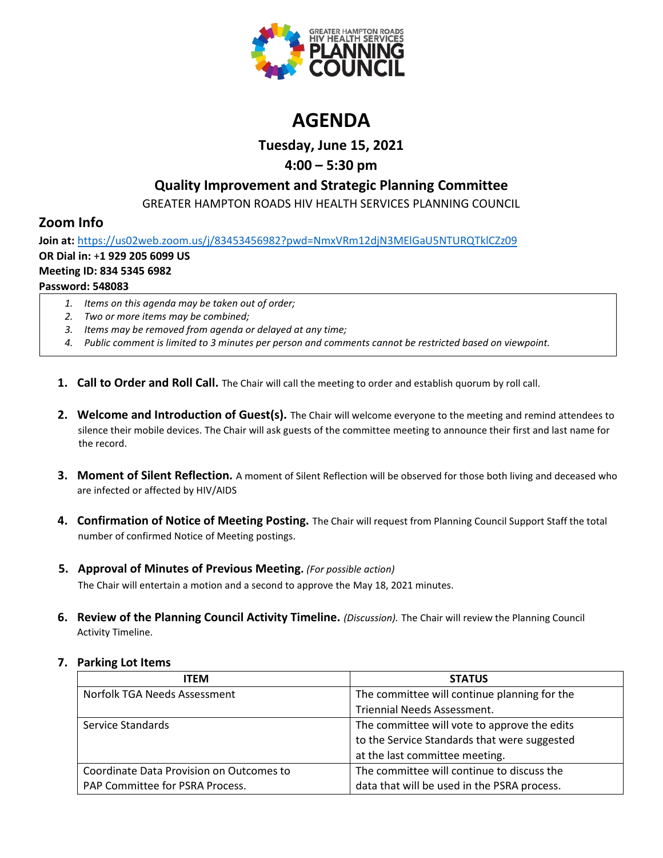

# **AGENDA**

**Tuesday, June 15, 2021**

## **4:00 – 5:30 pm**

### **Quality Improvement and Strategic Planning Committee**

GREATER HAMPTON ROADS HIV HEALTH SERVICES PLANNING COUNCIL

# **Zoom Info**

**Join at:** <https://us02web.zoom.us/j/83453456982?pwd=NmxVRm12djN3MElGaU5NTURQTklCZz09> **OR Dial in:** +**1 929 205 6099 US Meeting ID: 834 5345 6982 Password: 548083**

- *1. Items on this agenda may be taken out of order;*
- *2. Two or more items may be combined;*
- *3. Items may be removed from agenda or delayed at any time;*
- *4. Public comment is limited to 3 minutes per person and comments cannot be restricted based on viewpoint.*
- **1. Call to Order and Roll Call.** The Chair will call the meeting to order and establish quorum by roll call.
- **2. Welcome and Introduction of Guest(s).** The Chair will welcome everyone to the meeting and remind attendees to silence their mobile devices. The Chair will ask guests of the committee meeting to announce their first and last name for the record.
- **3. Moment of Silent Reflection.** A moment of Silent Reflection will be observed for those both living and deceased who are infected or affected by HIV/AIDS
- **4. Confirmation of Notice of Meeting Posting.** The Chair will request from Planning Council Support Staff the total number of confirmed Notice of Meeting postings.
- **5. Approval of Minutes of Previous Meeting.** *(For possible action)*

The Chair will entertain a motion and a second to approve the May 18, 2021 minutes.

**6. Review of the Planning Council Activity Timeline.** *(Discussion).* The Chair will review the Planning Council Activity Timeline.

### **ITEM STATUS** Norfolk TGA Needs Assessment The committee will continue planning for the Triennial Needs Assessment. Service Standards The committee will vote to approve the edits to the Service Standards that were suggested at the last committee meeting. Coordinate Data Provision on Outcomes to PAP Committee for PSRA Process. The committee will continue to discuss the data that will be used in the PSRA process.

### **7. Parking Lot Items**